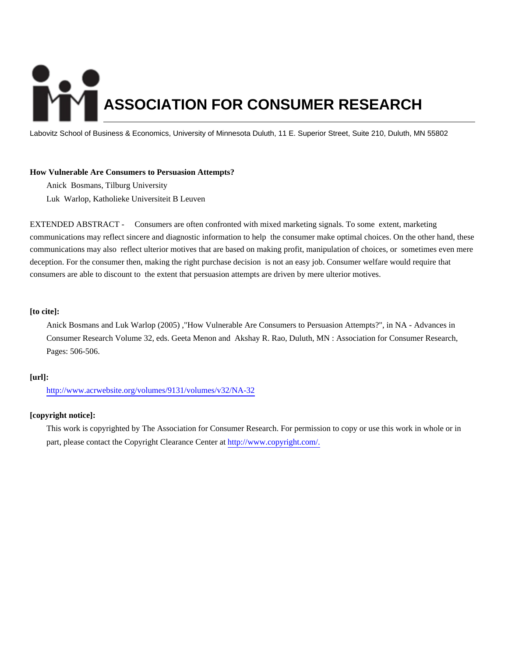# **ASSOCIATION FOR CONSUMER RESEARCH**

Labovitz School of Business & Economics, University of Minnesota Duluth, 11 E. Superior Street, Suite 210, Duluth, MN 55802

## **How Vulnerable Are Consumers to Persuasion Attempts?**

Anick Bosmans, Tilburg University Luk Warlop, Katholieke Universiteit B Leuven

EXTENDED ABSTRACT - Consumers are often confronted with mixed marketing signals. To some extent, marketing communications may reflect sincere and diagnostic information to help the consumer make optimal choices. On the other hand, these communications may also reflect ulterior motives that are based on making profit, manipulation of choices, or sometimes even mere deception. For the consumer then, making the right purchase decision is not an easy job. Consumer welfare would require that consumers are able to discount to the extent that persuasion attempts are driven by mere ulterior motives.

## **[to cite]:**

Anick Bosmans and Luk Warlop (2005) ,"How Vulnerable Are Consumers to Persuasion Attempts?", in NA - Advances in Consumer Research Volume 32, eds. Geeta Menon and Akshay R. Rao, Duluth, MN : Association for Consumer Research, Pages: 506-506.

# **[url]:**

<http://www.acrwebsite.org/volumes/9131/volumes/v32/NA-32>

# **[copyright notice]:**

This work is copyrighted by The Association for Consumer Research. For permission to copy or use this work in whole or in part, please contact the Copyright Clearance Center at [http://www.copyright.com/.](http://www.copyright.com/)